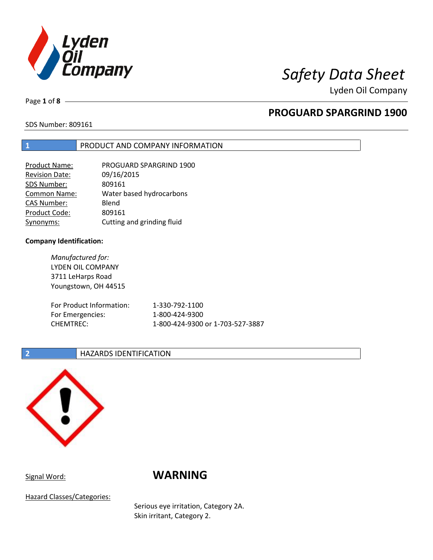

Lyden Oil Company

Page **1** of **8**

## **PROGUARD SPARGRIND 1900**

SDS Number: 809161

### **1** PRODUCT AND COMPANY INFORMATION

| Product Name:         | PROGUARD SPARGRIND 1900    |
|-----------------------|----------------------------|
| <b>Revision Date:</b> | 09/16/2015                 |
| SDS Number:           | 809161                     |
| Common Name:          | Water based hydrocarbons   |
| <b>CAS Number:</b>    | Blend                      |
| Product Code:         | 809161                     |
| Synonyms:             | Cutting and grinding fluid |

#### **Company Identification:**

*Manufactured for:* LYDEN OIL COMPANY 3711 LeHarps Road Youngstown, OH 44515 For Product Information: 1-330-792-1100 For Emergencies: 1-800-424-9300 CHEMTREC: 1-800-424-9300 or 1-703-527-3887

### **2 HAZARDS IDENTIFICATION**



# Signal Word: **WARNING**

Hazard Classes/Categories:

Serious eye irritation, Category 2A. Skin irritant, Category 2.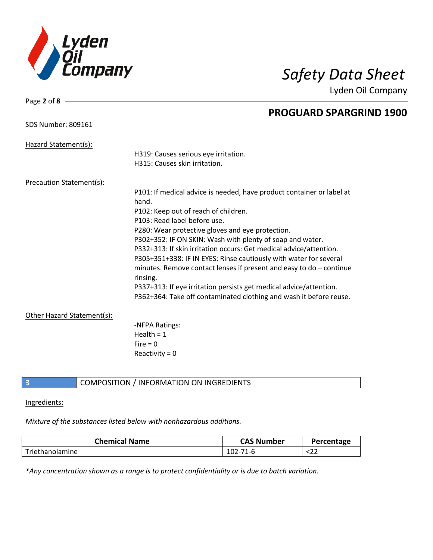

Lyden Oil Company

| Page 2 of 8                     |                                                                       |
|---------------------------------|-----------------------------------------------------------------------|
|                                 | <b>PROGUARD SPARGRIND 1900</b>                                        |
| <b>SDS Number: 809161</b>       |                                                                       |
|                                 |                                                                       |
| Hazard Statement(s):            | H319: Causes serious eye irritation.                                  |
|                                 | H315: Causes skin irritation.                                         |
|                                 |                                                                       |
| <b>Precaution Statement(s):</b> |                                                                       |
|                                 | P101: If medical advice is needed, have product container or label at |
|                                 | hand.                                                                 |
|                                 | P102: Keep out of reach of children.                                  |
|                                 | P103: Read label before use.                                          |
|                                 | P280: Wear protective gloves and eye protection.                      |
|                                 | P302+352: IF ON SKIN: Wash with plenty of soap and water.             |
|                                 | P332+313: If skin irritation occurs: Get medical advice/attention.    |
|                                 | P305+351+338: IF IN EYES: Rinse cautiously with water for several     |
|                                 | minutes. Remove contact lenses if present and easy to $do$ – continue |
|                                 | rinsing.                                                              |
|                                 | P337+313: If eye irritation persists get medical advice/attention.    |
|                                 | P362+364: Take off contaminated clothing and wash it before reuse.    |
| Other Hazard Statement(s):      |                                                                       |
|                                 | -NFPA Ratings:                                                        |
|                                 | Health = $1$                                                          |
|                                 | Fire $= 0$                                                            |
|                                 | Reactivity = $0$                                                      |
|                                 |                                                                       |

### **3** COMPOSITION / INFORMATION ON INGREDIENTS

#### Ingredients:

### *Mixture of the substances listed below with nonhazardous additions.*

| <b>Chemical Name</b> | <b>CAS Number</b> | Percentage |
|----------------------|-------------------|------------|
| Triethanolamine      | $102 - 71 - 6$    | 52Z        |

*\*Any concentration shown as a range is to protect confidentiality or is due to batch variation.*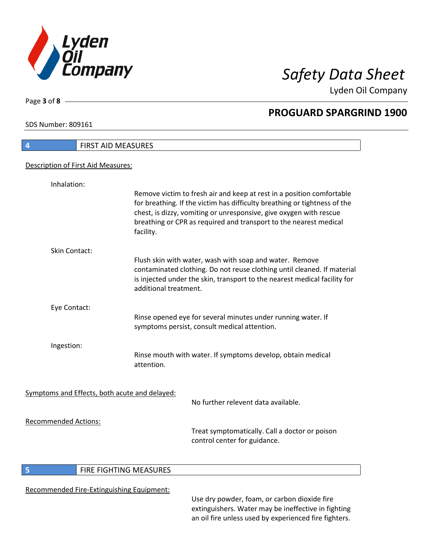

Lyden Oil Company

SDS Number: 809161

Page **3** of **8**

| Remove victim to fresh air and keep at rest in a position comfortable<br>for breathing. If the victim has difficulty breathing or tightness of the<br>chest, is dizzy, vomiting or unresponsive, give oxygen with rescue<br>breathing or CPR as required and transport to the nearest medical |
|-----------------------------------------------------------------------------------------------------------------------------------------------------------------------------------------------------------------------------------------------------------------------------------------------|
|                                                                                                                                                                                                                                                                                               |
| Flush skin with water, wash with soap and water. Remove<br>contaminated clothing. Do not reuse clothing until cleaned. If material<br>is injected under the skin, transport to the nearest medical facility for                                                                               |
|                                                                                                                                                                                                                                                                                               |
| Rinse opened eye for several minutes under running water. If<br>symptoms persist, consult medical attention.                                                                                                                                                                                  |
|                                                                                                                                                                                                                                                                                               |
| Rinse mouth with water. If symptoms develop, obtain medical                                                                                                                                                                                                                                   |
|                                                                                                                                                                                                                                                                                               |
| No further relevent data available.                                                                                                                                                                                                                                                           |
| Treat symptomatically. Call a doctor or poison<br>control center for guidance.                                                                                                                                                                                                                |
|                                                                                                                                                                                                                                                                                               |

### **5 FIRE FIGHTING MEASURES**

### Recommended Fire-Extinguishing Equipment:

Use dry powder, foam, or carbon dioxide fire extinguishers. Water may be ineffective in fighting an oil fire unless used by experienced fire fighters.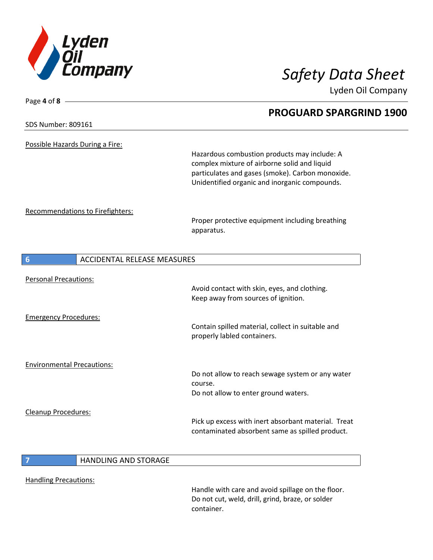

Page **4** of **8**

Lyden Oil Company

# **PROGUARD SPARGRIND 1900** SDS Number: 809161 Possible Hazards During a Fire: Hazardous combustion products may include: A complex mixture of airborne solid and liquid particulates and gases (smoke). Carbon monoxide. Unidentified organic and inorganic compounds. Recommendations to Firefighters: Proper protective equipment including breathing apparatus. **6** ACCIDENTAL RELEASE MEASURES Personal Precautions: Avoid contact with skin, eyes, and clothing. Keep away from sources of ignition. Emergency Procedures: Contain spilled material, collect in suitable and properly labled containers. Environmental Precautions: Do not allow to reach sewage system or any water course. Do not allow to enter ground waters. Cleanup Procedures: Pick up excess with inert absorbant material. Treat contaminated absorbent same as spilled product. **7** HANDLING AND STORAGE

Handling Precautions:

Handle with care and avoid spillage on the floor. Do not cut, weld, drill, grind, braze, or solder container.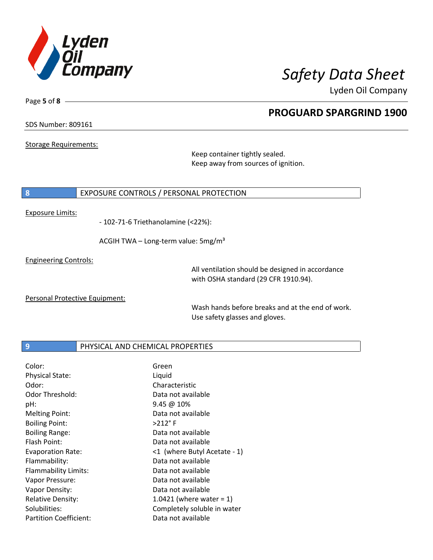

Lyden Oil Company

### SDS Number: 809161

Page **5** of **8**

Storage Requirements:

Keep container tightly sealed. Keep away from sources of ignition.

#### **8** EXPOSURE CONTROLS / PERSONAL PROTECTION

#### Exposure Limits:

- 102-71-6 Triethanolamine (<22%):

ACGIH TWA - Long-term value: 5mg/m<sup>3</sup>

Engineering Controls:

All ventilation should be designed in accordance with OSHA standard (29 CFR 1910.94).

Personal Protective Equipment:

Wash hands before breaks and at the end of work. Use safety glasses and gloves.

#### **9 PHYSICAL AND CHEMICAL PROPERTIES**

| Color:                        | Green                        |
|-------------------------------|------------------------------|
| <b>Physical State:</b>        | Liquid                       |
| Odor:                         | Characteristic               |
| Odor Threshold:               | Data not available           |
| pH:                           | 9.45@10%                     |
| <b>Melting Point:</b>         | Data not available           |
| <b>Boiling Point:</b>         | $>212$ °F                    |
| <b>Boiling Range:</b>         | Data not available           |
| Flash Point:                  | Data not available           |
| <b>Evaporation Rate:</b>      | <1 (where Butyl Acetate - 1) |
| Flammability:                 | Data not available           |
| Flammability Limits:          | Data not available           |
| Vapor Pressure:               | Data not available           |
| Vapor Density:                | Data not available           |
| <b>Relative Density:</b>      | 1.0421 (where water = $1$ )  |
| Solubilities:                 | Completely soluble in water  |
| <b>Partition Coefficient:</b> | Data not available           |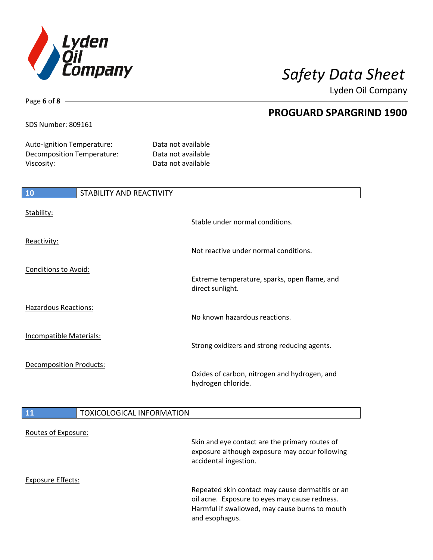

Lyden Oil Company

### SDS Number: 809161

Page **6** of **8**

Auto-Ignition Temperature: Data not available Decomposition Temperature: Data not available Viscosity: Viscosity: 2002 12:20 2012 12:20 2012 12:20 2012 12:20 2012 12:20 2012 12:20 2012 12:20 2012 12:20

| <b>10</b>                      | STABILITY AND REACTIVITY |                                                                    |
|--------------------------------|--------------------------|--------------------------------------------------------------------|
| Stability:                     |                          | Stable under normal conditions.                                    |
| Reactivity:                    |                          | Not reactive under normal conditions.                              |
| <b>Conditions to Avoid:</b>    |                          | Extreme temperature, sparks, open flame, and<br>direct sunlight.   |
| <b>Hazardous Reactions:</b>    |                          | No known hazardous reactions.                                      |
| <b>Incompatible Materials:</b> |                          | Strong oxidizers and strong reducing agents.                       |
| <b>Decomposition Products:</b> |                          | Oxides of carbon, nitrogen and hydrogen, and<br>hydrogen chloride. |

### **11** TOXICOLOGICAL INFORMATION

| Routes of Exposure: |                                                                                                                                                                       |
|---------------------|-----------------------------------------------------------------------------------------------------------------------------------------------------------------------|
|                     | Skin and eye contact are the primary routes of<br>exposure although exposure may occur following<br>accidental ingestion.                                             |
| Exposure Effects:   |                                                                                                                                                                       |
|                     | Repeated skin contact may cause dermatitis or an<br>oil acne. Exposure to eyes may cause redness.<br>Harmful if swallowed, may cause burns to mouth<br>and esophagus. |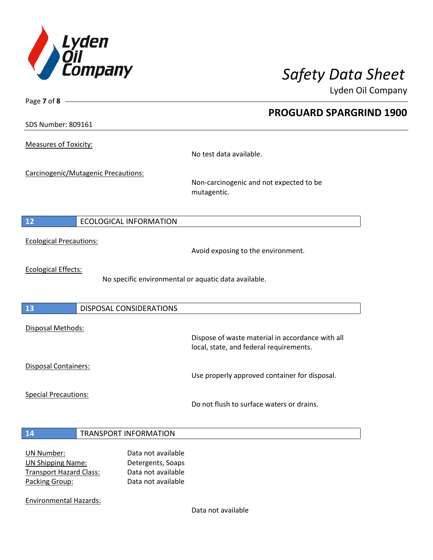

Lyden Oil Company

SDS Number: 809161

Page **7** of **8**

Measures of Toxicity:

No test data available.

Carcinogenic/Mutagenic Precautions:

Non-carcinogenic and not expected to be mutagentic.

### **12** ECOLOGICAL INFORMATION

Ecological Precautions:

Avoid exposing to the environment.

Ecological Effects:

No specific environmental or aquatic data available.

#### **13** DISPOSAL CONSIDERATIONS

Disposal Methods:

Disposal Containers:

Use properly approved container for disposal.

Dispose of waste material in accordance with all

Special Precautions:

Do not flush to surface waters or drains.

local, state, and federal requirements.

#### **14** TRANSPORT INFORMATION

| UN Number:                     | Data not available |
|--------------------------------|--------------------|
| <b>UN Shipping Name:</b>       | Detergents, Soaps  |
| <b>Transport Hazard Class:</b> | Data not available |
| Packing Group:                 | Data not available |

Environmental Hazards:

Data not available